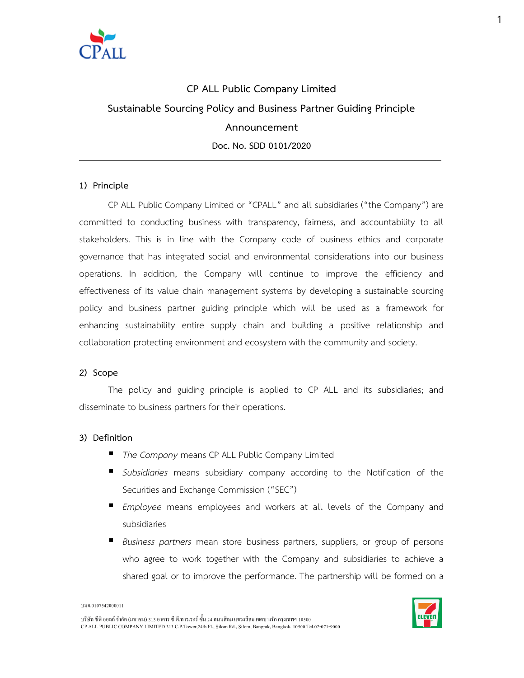

# CP ALL Public Company Limited Sustainable Sourcing Policy and Business Partner Guiding Principle Announcement Doc. No. SDD 0101/2020

## 1) Principle

CP ALL Public Company Limited or "CPALL" and all subsidiaries ("the Company") are committed to conducting business with transparency, fairness, and accountability to all stakeholders. This is in line with the Company code of business ethics and corporate governance that has integrated social and environmental considerations into our business operations. In addition, the Company will continue to improve the efficiency and effectiveness of its value chain management systems by developing a sustainable sourcing policy and business partner guiding principle which will be used as a framework for enhancing sustainability entire supply chain and building a positive relationship and collaboration protecting environment and ecosystem with the community and society.

#### 2) Scope

The policy and guiding principle is applied to CP ALL and its subsidiaries; and disseminate to business partners for their operations.

## 3) Definition

- The Company means CP ALL Public Company Limited
- Subsidiaries means subsidiary company according to the Notification of the Securities and Exchange Commission ("SEC")
- Employee means employees and workers at all levels of the Company and subsidiaries
- Business partners mean store business partners, suppliers, or group of persons who agree to work together with the Company and subsidiaries to achieve a shared goal or to improve the performance. The partnership will be formed on a



บริษัท ซีพี ออลล์ จำกัด (มหาชน) 313 อาคาร ซี.พี.ทาวเวอร์ ซั้น 24 ถนนสีลม แขวงสีลม เขตบางรัก กรุงเทพฯ 10500 CP ALL PUBLIC COMPANY LIMITED 313 C.P.Tower, 24th Fl., Silom Rd., Silom, Bangrak, Bangkok. 10500 Tel.02-071-9000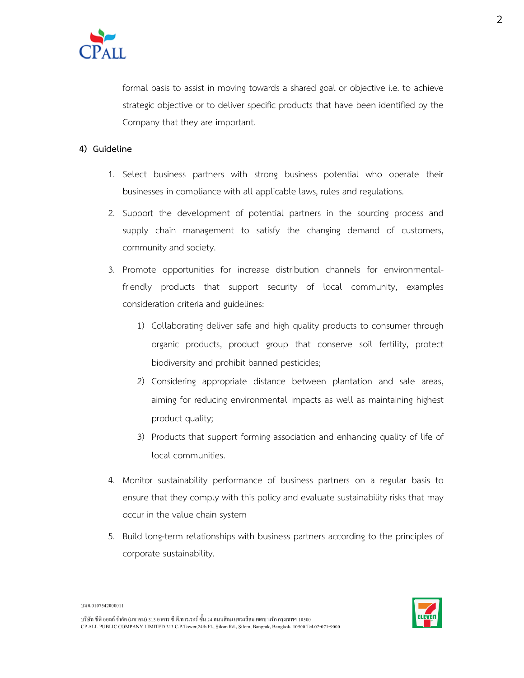

formal basis to assist in moving towards a shared goal or objective i.e. to achieve strategic objective or to deliver specific products that have been identified by the Company that they are important.

## 4) Guideline

- 1. Select business partners with strong business potential who operate their businesses in compliance with all applicable laws, rules and regulations.
- 2. Support the development of potential partners in the sourcing process and supply chain management to satisfy the changing demand of customers, community and society.
- 3. Promote opportunities for increase distribution channels for environmentalfriendly products that support security of local community, examples consideration criteria and guidelines:
	- 1) Collaborating deliver safe and high quality products to consumer through organic products, product group that conserve soil fertility, protect biodiversity and prohibit banned pesticides;
	- 2) Considering appropriate distance between plantation and sale areas, aiming for reducing environmental impacts as well as maintaining highest product quality;
	- 3) Products that support forming association and enhancing quality of life of local communities.
- 4. Monitor sustainability performance of business partners on a regular basis to ensure that they comply with this policy and evaluate sustainability risks that may occur in the value chain system
- 5. Build long-term relationships with business partners according to the principles of corporate sustainability.



บมจ.0107542000011